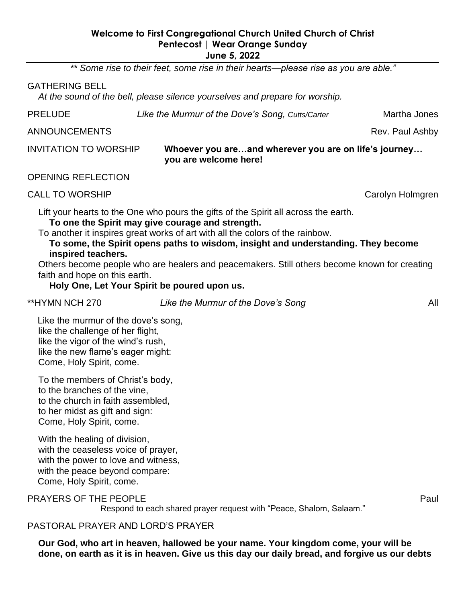#### **Welcome to First Congregational Church United Church of Christ Pentecost | Wear Orange Sunday June 5, 2022**

*\*\* Some rise to their feet, some rise in their hearts—please rise as you are able."*

#### GATHERING BELL

*At the sound of the bell, please silence yourselves and prepare for worship.*

PRELUDE *Like the Murmur of the Dove's Song, Cutts/Carter* Martha Jones

ANNOUNCEMENTS **Rev. Paul Ashby** 

## INVITATION TO WORSHIP **Whoever you are…and wherever you are on life's journey… you are welcome here!**

OPENING REFLECTION

CALL TO WORSHIP CALL TO WORSHIP

Lift your hearts to the One who pours the gifts of the Spirit all across the earth. **To one the Spirit may give courage and strength.** 

To another it inspires great works of art with all the colors of the rainbow.

**To some, the Spirit opens paths to wisdom, insight and understanding. They become inspired teachers.** 

Others become people who are healers and peacemakers. Still others become known for creating faith and hope on this earth.

**Holy One, Let Your Spirit be poured upon us.**

\*\*HYMN NCH 270 *Like the Murmur of the Dove's Song* All

Like the murmur of the dove's song, like the challenge of her flight, like the vigor of the wind's rush, like the new flame's eager might: Come, Holy Spirit, come.

To the members of Christ's body, to the branches of the vine, to the church in faith assembled, to her midst as gift and sign: Come, Holy Spirit, come.

With the healing of division, with the ceaseless voice of prayer, with the power to love and witness, with the peace beyond compare: Come, Holy Spirit, come.

PRAYERS OF THE PEOPLE **Paul Section 1999** PRAYERS OF THE PEOPLE

Respond to each shared prayer request with "Peace, Shalom, Salaam."

PASTORAL PRAYER AND LORD'S PRAYER

**Our God, who art in heaven, hallowed be your name. Your kingdom come, your will be done, on earth as it is in heaven. Give us this day our daily bread, and forgive us our debts**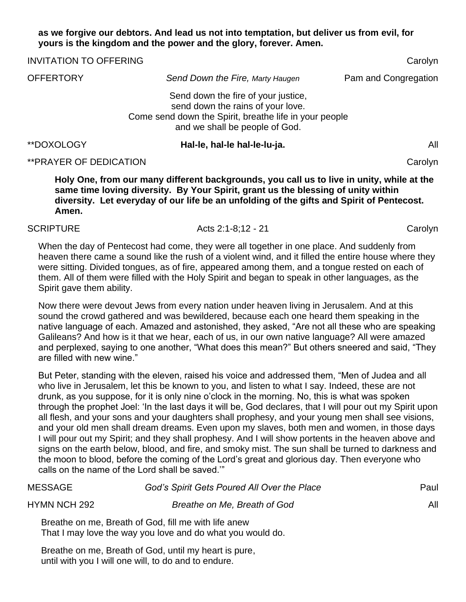#### **as we forgive our debtors. And lead us not into temptation, but deliver us from evil, for yours is the kingdom and the power and the glory, forever. Amen.**

| <b>INVITATION TO OFFERING</b> |                                                                                                                                                                      | Carolyn              |  |
|-------------------------------|----------------------------------------------------------------------------------------------------------------------------------------------------------------------|----------------------|--|
| <b>OFFERTORY</b>              | Send Down the Fire, Marty Haugen                                                                                                                                     | Pam and Congregation |  |
|                               | Send down the fire of your justice,<br>send down the rains of your love.<br>Come send down the Spirit, breathe life in your people<br>and we shall be people of God. |                      |  |
| **DOXOLOGY                    | Hal-le, hal-le hal-le-lu-ja.                                                                                                                                         | All                  |  |

#### \*\*PRAYER OF DEDICATION Carolyn

**Holy One, from our many different backgrounds, you call us to live in unity, while at the same time loving diversity. By Your Spirit, grant us the blessing of unity within diversity. Let everyday of our life be an unfolding of the gifts and Spirit of Pentecost. Amen.**

#### SCRIPTURE Acts 2:1-8:12 - 21 Carolyn

When the day of Pentecost had come, they were all together in one place. And suddenly from heaven there came a sound like the rush of a violent wind, and it filled the entire house where they were sitting. Divided tongues, as of fire, appeared among them, and a tongue rested on each of them. All of them were filled with the Holy Spirit and began to speak in other languages, as the Spirit gave them ability.

Now there were devout Jews from every nation under heaven living in Jerusalem. And at this sound the crowd gathered and was bewildered, because each one heard them speaking in the native language of each. Amazed and astonished, they asked, "Are not all these who are speaking Galileans? And how is it that we hear, each of us, in our own native language? All were amazed and perplexed, saying to one another, "What does this mean?" But others sneered and said, "They are filled with new wine."

But Peter, standing with the eleven, raised his voice and addressed them, "Men of Judea and all who live in Jerusalem, let this be known to you, and listen to what I say. Indeed, these are not drunk, as you suppose, for it is only nine o'clock in the morning. No, this is what was spoken through the prophet Joel: 'In the last days it will be, God declares, that I will pour out my Spirit upon all flesh, and your sons and your daughters shall prophesy, and your young men shall see visions, and your old men shall dream dreams. Even upon my slaves, both men and women, in those days I will pour out my Spirit; and they shall prophesy. And I will show portents in the heaven above and signs on the earth below, blood, and fire, and smoky mist. The sun shall be turned to darkness and the moon to blood, before the coming of the Lord's great and glorious day. Then everyone who calls on the name of the Lord shall be saved.'"

| <b>MESSAGE</b>      | God's Spirit Gets Poured All Over the Place                                                                        |  |
|---------------------|--------------------------------------------------------------------------------------------------------------------|--|
| <b>HYMN NCH 292</b> | All                                                                                                                |  |
|                     | Breathe on me, Breath of God, fill me with life anew<br>That I may love the way you love and do what you would do. |  |
|                     | Breathe on me. Breath of God, until my heart is pure                                                               |  |

Breathe on me, Breath of God, until my heart is pure, until with you I will one will, to do and to endure.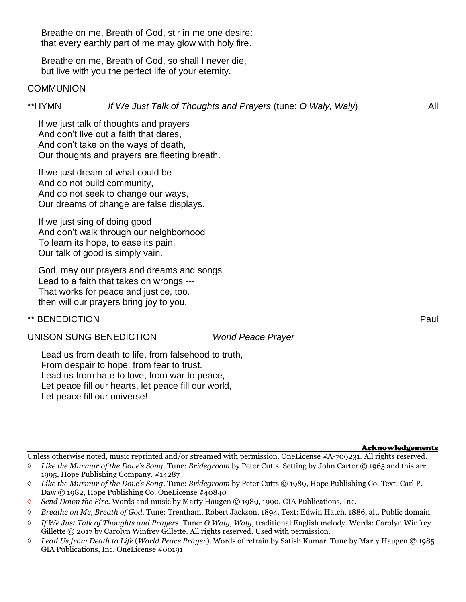Breathe on me, Breath of God, stir in me one desire: that every earthly part of me may glow with holy fire.

Breathe on me, Breath of God, so shall I never die, but live with you the perfect life of your eternity.

#### **COMMUNION**

## \*\*HYMN *If We Just Talk of Thoughts and Prayers* (tune: *O Waly, Waly*) All

If we just talk of thoughts and prayers And don't live out a faith that dares, And don't take on the ways of death, Our thoughts and prayers are fleeting breath.

If we just dream of what could be And do not build community, And do not seek to change our ways, Our dreams of change are false displays.

If we just sing of doing good And don't walk through our neighborhood To learn its hope, to ease its pain, Our talk of good is simply vain.

God, may our prayers and dreams and songs Lead to a faith that takes on wrongs --- That works for peace and justice, too. then will our prayers bring joy to you.

## \*\* BENEDICTION Paul

UNISON SUNG BENEDICTION *World Peace Prayer* 

Lead us from death to life, from falsehood to truth, From despair to hope, from fear to trust. Lead us from hate to love, from war to peace, Let peace fill our hearts, let peace fill our world, Let peace fill our universe!

Acknowledgements

Unless otherwise noted, music reprinted and/or streamed with permission. OneLicense #A-709231. All rights reserved.

- *Like the Murmur of the Dove's Song*. Tune: *Bridegroom* by Peter Cutts. Setting by John Carter © 1965 and this arr. 1995, Hope Publishing Company. #14287
- *Like the Murmur of the Dove's Song*. Tune: *Bridegroom* by Peter Cutts © 1989, Hope Publishing Co. Text: Carl P. Daw © 1982, Hope Publishing Co. OneLicense #40840
- *Send Down the Fire.* Words and music by Marty Haugen © 1989, 1990, GIA Publications, Inc.
- *Breathe on Me, Breath of God.* Tune: Trentham, Robert Jackson, 1894. Text: Edwin Hatch, 1886, alt. Public domain.
- *If We Just Talk of Thoughts and Prayers*. Tune: *O Waly, Waly*, traditional English melody. Words: Carolyn Winfrey Gillette © 2017 by Carolyn Winfrey Gillette. All rights reserved. Used with permission.
- *Lead Us from Death to Life* (*World Peace Prayer*). Words of refrain by Satish Kumar. Tune by Marty Haugen © 1985 GIA Publications, Inc. OneLicense #00191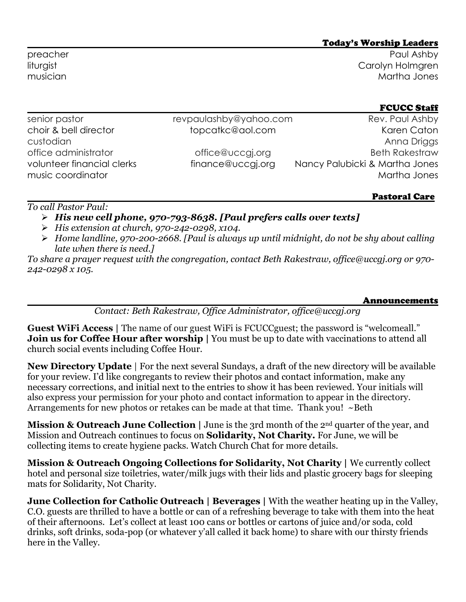#### Today's Worship Leaders

preacher Paul Ashby liturgist Carolyn Holmgren musician Martha Jones

## FCUCC Staff

| senior pastor                                   | revpaulashby@yahoo.com | Rev. Paul Ashby                                |
|-------------------------------------------------|------------------------|------------------------------------------------|
| choir & bell director                           | topcatkc@aol.com       | Karen Caton                                    |
| custodian                                       |                        | Anna Driggs                                    |
| office administrator                            | office@uccgi.org       | <b>Beth Rakestraw</b>                          |
| volunteer financial clerks<br>music coordinator | finance@uccgj.org      | Nancy Palubicki & Martha Jones<br>Martha Jones |
|                                                 |                        |                                                |

# Pastoral Care

## *To call Pastor Paul:*

- ➢ *His new cell phone, 970-793-8638. [Paul prefers calls over texts]*
- ➢ *His extension at church, 970-242-0298, x104.*
- ➢ *Home landline, 970-200-2668. [Paul is always up until midnight, do not be shy about calling late when there is need.]*

*To share a prayer request with the congregation, contact Beth Rakestraw, office@uccgj.org or 970- 242-0298 x 105.*

#### Announcements

*Contact: Beth Rakestraw, Office Administrator, office@uccgj.org*

**Guest WiFi Access** | The name of our guest WiFi is FCUCCguest; the password is "welcomeall." **Join us for Coffee Hour after worship |** You must be up to date with vaccinations to attend all church social events including Coffee Hour.

**New Directory Update** | For the next several Sundays, a draft of the new directory will be available for your review. I'd like congregants to review their photos and contact information, make any necessary corrections, and initial next to the entries to show it has been reviewed. Your initials will also express your permission for your photo and contact information to appear in the directory. Arrangements for new photos or retakes can be made at that time. Thank you! ~Beth

**Mission & Outreach June Collection** | June is the 3rd month of the 2<sup>nd</sup> quarter of the year, and Mission and Outreach continues to focus on **Solidarity, Not Charity.** For June, we will be collecting items to create hygiene packs. Watch Church Chat for more details.

**Mission & Outreach Ongoing Collections for Solidarity, Not Charity | We currently collect** hotel and personal size toiletries, water/milk jugs with their lids and plastic grocery bags for sleeping mats for Solidarity, Not Charity.

**June Collection for Catholic Outreach | Beverages |** With the weather heating up in the Valley, C.O. guests are thrilled to have a bottle or can of a refreshing beverage to take with them into the heat of their afternoons. Let's collect at least 100 cans or bottles or cartons of juice and/or soda, cold drinks, soft drinks, soda-pop (or whatever y'all called it back home) to share with our thirsty friends here in the Valley.